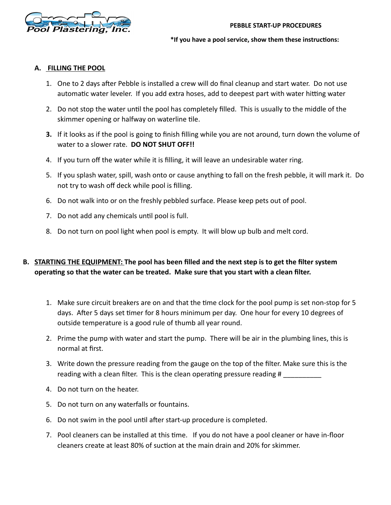

\*If you have a pool service, show them these instructions:

## **A. FILLING THE POOL**

- 1. One to 2 days after Pebble is installed a crew will do final cleanup and start water. Do not use automatic water leveler. If you add extra hoses, add to deepest part with water hitting water
- 2. Do not stop the water until the pool has completely filled. This is usually to the middle of the skimmer opening or halfway on waterline tile.
- **3.** If it looks as if the pool is going to finish filling while you are not around, turn down the volume of water to a slower rate. **DO NOT SHUT OFF!!**
- 4. If you turn off the water while it is filling, it will leave an undesirable water ring.
- 5. If you splash water, spill, wash onto or cause anything to fall on the fresh pebble, it will mark it. Do not try to wash off deck while pool is filling.
- 6. Do not walk into or on the freshly pebbled surface. Please keep pets out of pool.
- 7. Do not add any chemicals until pool is full.
- 8. Do not turn on pool light when pool is empty. It will blow up bulb and melt cord.

## **B. STARTING THE EQUIPMENT: The pool has been filled and the next step is to get the filter system**  operating so that the water can be treated. Make sure that you start with a clean filter.

- 1. Make sure circuit breakers are on and that the time clock for the pool pump is set non-stop for 5 days. After 5 days set timer for 8 hours minimum per day. One hour for every 10 degrees of outside temperature is a good rule of thumb all year round.
- 2. Prime the pump with water and start the pump. There will be air in the plumbing lines, this is normal at first.
- 3. Write down the pressure reading from the gauge on the top of the filter. Make sure this is the reading with a clean filter. This is the clean operating pressure reading #
- 4. Do not turn on the heater.
- 5. Do not turn on any waterfalls or fountains.
- 6. Do not swim in the pool until after start-up procedure is completed.
- 7. Pool cleaners can be installed at this time. If you do not have a pool cleaner or have in-floor cleaners create at least 80% of suction at the main drain and 20% for skimmer.